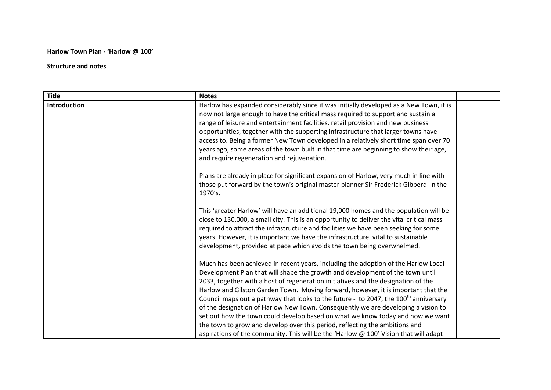## **Harlow Town Plan - 'Harlow @ 100'**

## **Structure and notes**

| <b>Title</b>        | <b>Notes</b>                                                                                     |  |
|---------------------|--------------------------------------------------------------------------------------------------|--|
| <b>Introduction</b> | Harlow has expanded considerably since it was initially developed as a New Town, it is           |  |
|                     | now not large enough to have the critical mass required to support and sustain a                 |  |
|                     | range of leisure and entertainment facilities, retail provision and new business                 |  |
|                     | opportunities, together with the supporting infrastructure that larger towns have                |  |
|                     | access to. Being a former New Town developed in a relatively short time span over 70             |  |
|                     | years ago, some areas of the town built in that time are beginning to show their age,            |  |
|                     | and require regeneration and rejuvenation.                                                       |  |
|                     | Plans are already in place for significant expansion of Harlow, very much in line with           |  |
|                     | those put forward by the town's original master planner Sir Frederick Gibberd in the<br>1970's.  |  |
|                     | This 'greater Harlow' will have an additional 19,000 homes and the population will be            |  |
|                     | close to 130,000, a small city. This is an opportunity to deliver the vital critical mass        |  |
|                     | required to attract the infrastructure and facilities we have been seeking for some              |  |
|                     | years. However, it is important we have the infrastructure, vital to sustainable                 |  |
|                     | development, provided at pace which avoids the town being overwhelmed.                           |  |
|                     | Much has been achieved in recent years, including the adoption of the Harlow Local               |  |
|                     | Development Plan that will shape the growth and development of the town until                    |  |
|                     | 2033, together with a host of regeneration initiatives and the designation of the                |  |
|                     | Harlow and Gilston Garden Town. Moving forward, however, it is important that the                |  |
|                     | Council maps out a pathway that looks to the future - to 2047, the 100 <sup>th</sup> anniversary |  |
|                     | of the designation of Harlow New Town. Consequently we are developing a vision to                |  |
|                     | set out how the town could develop based on what we know today and how we want                   |  |
|                     | the town to grow and develop over this period, reflecting the ambitions and                      |  |
|                     | aspirations of the community. This will be the 'Harlow @ 100' Vision that will adapt             |  |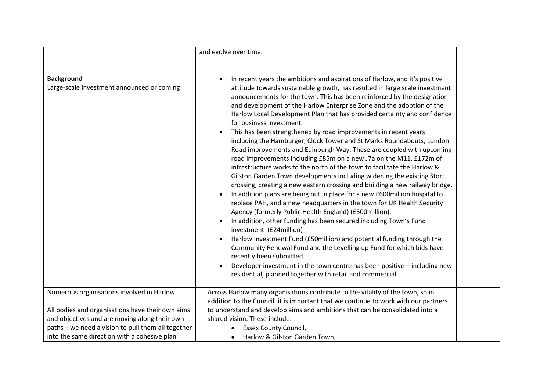|                                                                                                     | and evolve over time.                                                                                                                                                                                                                                                                                                                                                                                                                                                                                                                                                                                                                                                                                                                                                                                                                                                                                                                                                                                                                                                                                                                                                                                                                                                                                                                                                                                                                                                                                                                                                                          |  |
|-----------------------------------------------------------------------------------------------------|------------------------------------------------------------------------------------------------------------------------------------------------------------------------------------------------------------------------------------------------------------------------------------------------------------------------------------------------------------------------------------------------------------------------------------------------------------------------------------------------------------------------------------------------------------------------------------------------------------------------------------------------------------------------------------------------------------------------------------------------------------------------------------------------------------------------------------------------------------------------------------------------------------------------------------------------------------------------------------------------------------------------------------------------------------------------------------------------------------------------------------------------------------------------------------------------------------------------------------------------------------------------------------------------------------------------------------------------------------------------------------------------------------------------------------------------------------------------------------------------------------------------------------------------------------------------------------------------|--|
| <b>Background</b><br>Large-scale investment announced or coming                                     | In recent years the ambitions and aspirations of Harlow, and it's positive<br>attitude towards sustainable growth, has resulted in large scale investment<br>announcements for the town. This has been reinforced by the designation<br>and development of the Harlow Enterprise Zone and the adoption of the<br>Harlow Local Development Plan that has provided certainty and confidence<br>for business investment.<br>This has been strengthened by road improvements in recent years<br>including the Hamburger, Clock Tower and St Marks Roundabouts, London<br>Road improvements and Edinburgh Way. These are coupled with upcoming<br>road improvements including £85m on a new J7a on the M11, £172m of<br>infrastructure works to the north of the town to facilitate the Harlow &<br>Gilston Garden Town developments including widening the existing Stort<br>crossing, creating a new eastern crossing and building a new railway bridge.<br>In addition plans are being put in place for a new £600million hospital to<br>replace PAH, and a new headquarters in the town for UK Health Security<br>Agency (formerly Public Health England) (£500million).<br>In addition, other funding has been secured including Town's Fund<br>investment (£24million)<br>Harlow Investment Fund (£50million) and potential funding through the<br>Community Renewal Fund and the Levelling up Fund for which bids have<br>recently been submitted.<br>Developer investment in the town centre has been positive - including new<br>residential, planned together with retail and commercial. |  |
| Numerous organisations involved in Harlow                                                           | Across Harlow many organisations contribute to the vitality of the town, so in<br>addition to the Council, it is important that we continue to work with our partners                                                                                                                                                                                                                                                                                                                                                                                                                                                                                                                                                                                                                                                                                                                                                                                                                                                                                                                                                                                                                                                                                                                                                                                                                                                                                                                                                                                                                          |  |
| All bodies and organisations have their own aims                                                    | to understand and develop aims and ambitions that can be consolidated into a                                                                                                                                                                                                                                                                                                                                                                                                                                                                                                                                                                                                                                                                                                                                                                                                                                                                                                                                                                                                                                                                                                                                                                                                                                                                                                                                                                                                                                                                                                                   |  |
| and objectives and are moving along their own<br>paths - we need a vision to pull them all together | shared vision. These include:<br><b>Essex County Council,</b>                                                                                                                                                                                                                                                                                                                                                                                                                                                                                                                                                                                                                                                                                                                                                                                                                                                                                                                                                                                                                                                                                                                                                                                                                                                                                                                                                                                                                                                                                                                                  |  |
| into the same direction with a cohesive plan                                                        | Harlow & Gilston Garden Town,                                                                                                                                                                                                                                                                                                                                                                                                                                                                                                                                                                                                                                                                                                                                                                                                                                                                                                                                                                                                                                                                                                                                                                                                                                                                                                                                                                                                                                                                                                                                                                  |  |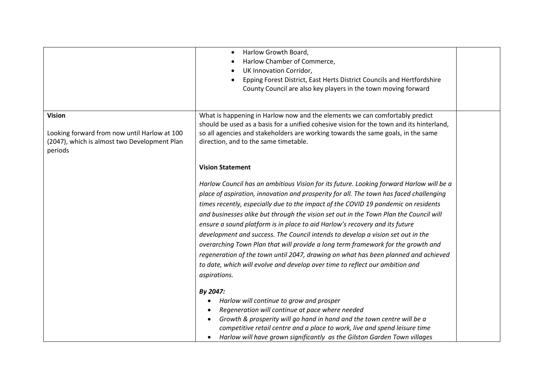|                                                                                                                          | Harlow Growth Board,<br>Harlow Chamber of Commerce,<br>UK Innovation Corridor,<br>Epping Forest District, East Herts District Councils and Hertfordshire<br>County Council are also key players in the town moving forward                                                                                                                                                                                                                                                                                                                                                                                                                                                                                                                                                                                                              |  |
|--------------------------------------------------------------------------------------------------------------------------|-----------------------------------------------------------------------------------------------------------------------------------------------------------------------------------------------------------------------------------------------------------------------------------------------------------------------------------------------------------------------------------------------------------------------------------------------------------------------------------------------------------------------------------------------------------------------------------------------------------------------------------------------------------------------------------------------------------------------------------------------------------------------------------------------------------------------------------------|--|
| <b>Vision</b><br>Looking forward from now until Harlow at 100<br>(2047), which is almost two Development Plan<br>periods | What is happening in Harlow now and the elements we can comfortably predict<br>should be used as a basis for a unified cohesive vision for the town and its hinterland,<br>so all agencies and stakeholders are working towards the same goals, in the same<br>direction, and to the same timetable.                                                                                                                                                                                                                                                                                                                                                                                                                                                                                                                                    |  |
|                                                                                                                          | <b>Vision Statement</b><br>Harlow Council has an ambitious Vision for its future. Looking forward Harlow will be a<br>place of aspiration, innovation and prosperity for all. The town has faced challenging<br>times recently, especially due to the impact of the COVID 19 pandemic on residents<br>and businesses alike but through the vision set out in the Town Plan the Council will<br>ensure a sound platform is in place to aid Harlow's recovery and its future<br>development and success. The Council intends to develop a vision set out in the<br>overarching Town Plan that will provide a long term framework for the growth and<br>regeneration of the town until 2047, drawing on what has been planned and achieved<br>to date, which will evolve and develop over time to reflect our ambition and<br>aspirations. |  |
|                                                                                                                          | By 2047:<br>Harlow will continue to grow and prosper<br>Regeneration will continue at pace where needed<br>Growth & prosperity will go hand in hand and the town centre will be a<br>competitive retail centre and a place to work, live and spend leisure time<br>Harlow will have grown significantly as the Gilston Garden Town villages                                                                                                                                                                                                                                                                                                                                                                                                                                                                                             |  |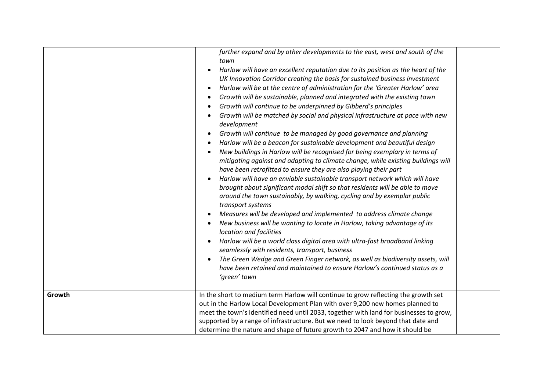| Growth | further expand and by other developments to the east, west and south of the<br>town<br>Harlow will have an excellent reputation due to its position as the heart of the<br>UK Innovation Corridor creating the basis for sustained business investment<br>Harlow will be at the centre of administration for the 'Greater Harlow' area<br>$\bullet$<br>Growth will be sustainable, planned and integrated with the existing town<br>Growth will continue to be underpinned by Gibberd's principles<br>Growth will be matched by social and physical infrastructure at pace with new<br>development<br>Growth will continue to be managed by good governance and planning<br>٠<br>Harlow will be a beacon for sustainable development and beautiful design<br>New buildings in Harlow will be recognised for being exemplary in terms of<br>mitigating against and adapting to climate change, while existing buildings will<br>have been retrofitted to ensure they are also playing their part<br>Harlow will have an enviable sustainable transport network which will have<br>brought about significant modal shift so that residents will be able to move<br>around the town sustainably, by walking, cycling and by exemplar public<br>transport systems<br>Measures will be developed and implemented to address climate change<br>New business will be wanting to locate in Harlow, taking advantage of its<br>location and facilities<br>Harlow will be a world class digital area with ultra-fast broadband linking<br>seamlessly with residents, transport, business<br>The Green Wedge and Green Finger network, as well as biodiversity assets, will<br>have been retained and maintained to ensure Harlow's continued status as a<br>'green' town<br>In the short to medium term Harlow will continue to grow reflecting the growth set |  |
|--------|------------------------------------------------------------------------------------------------------------------------------------------------------------------------------------------------------------------------------------------------------------------------------------------------------------------------------------------------------------------------------------------------------------------------------------------------------------------------------------------------------------------------------------------------------------------------------------------------------------------------------------------------------------------------------------------------------------------------------------------------------------------------------------------------------------------------------------------------------------------------------------------------------------------------------------------------------------------------------------------------------------------------------------------------------------------------------------------------------------------------------------------------------------------------------------------------------------------------------------------------------------------------------------------------------------------------------------------------------------------------------------------------------------------------------------------------------------------------------------------------------------------------------------------------------------------------------------------------------------------------------------------------------------------------------------------------------------------------------------------------------------------------------------------------------------------------------------------------------|--|
|        | out in the Harlow Local Development Plan with over 9,200 new homes planned to<br>meet the town's identified need until 2033, together with land for businesses to grow,<br>supported by a range of infrastructure. But we need to look beyond that date and<br>determine the nature and shape of future growth to 2047 and how it should be                                                                                                                                                                                                                                                                                                                                                                                                                                                                                                                                                                                                                                                                                                                                                                                                                                                                                                                                                                                                                                                                                                                                                                                                                                                                                                                                                                                                                                                                                                          |  |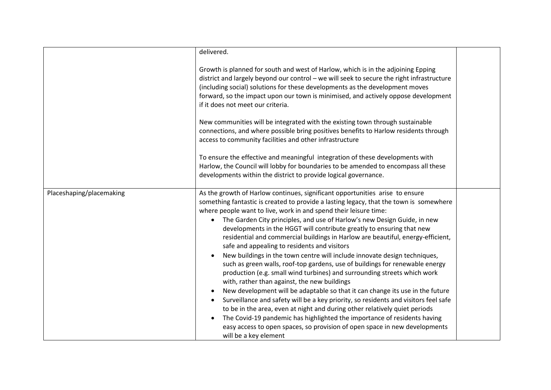|                          | delivered.                                                                                                                                                                                                                                                                                                                                                                                                                                                                                                                                                                                                                                                                                                                                                                                                                                                                                                                                                                                                                                                                                                                                                                                                                                                                                     |  |
|--------------------------|------------------------------------------------------------------------------------------------------------------------------------------------------------------------------------------------------------------------------------------------------------------------------------------------------------------------------------------------------------------------------------------------------------------------------------------------------------------------------------------------------------------------------------------------------------------------------------------------------------------------------------------------------------------------------------------------------------------------------------------------------------------------------------------------------------------------------------------------------------------------------------------------------------------------------------------------------------------------------------------------------------------------------------------------------------------------------------------------------------------------------------------------------------------------------------------------------------------------------------------------------------------------------------------------|--|
|                          | Growth is planned for south and west of Harlow, which is in the adjoining Epping<br>district and largely beyond our control - we will seek to secure the right infrastructure<br>(including social) solutions for these developments as the development moves<br>forward, so the impact upon our town is minimised, and actively oppose development<br>if it does not meet our criteria.                                                                                                                                                                                                                                                                                                                                                                                                                                                                                                                                                                                                                                                                                                                                                                                                                                                                                                       |  |
|                          | New communities will be integrated with the existing town through sustainable<br>connections, and where possible bring positives benefits to Harlow residents through<br>access to community facilities and other infrastructure                                                                                                                                                                                                                                                                                                                                                                                                                                                                                                                                                                                                                                                                                                                                                                                                                                                                                                                                                                                                                                                               |  |
|                          | To ensure the effective and meaningful integration of these developments with<br>Harlow, the Council will lobby for boundaries to be amended to encompass all these<br>developments within the district to provide logical governance.                                                                                                                                                                                                                                                                                                                                                                                                                                                                                                                                                                                                                                                                                                                                                                                                                                                                                                                                                                                                                                                         |  |
| Placeshaping/placemaking | As the growth of Harlow continues, significant opportunities arise to ensure<br>something fantastic is created to provide a lasting legacy, that the town is somewhere<br>where people want to live, work in and spend their leisure time:<br>The Garden City principles, and use of Harlow's new Design Guide, in new<br>$\bullet$<br>developments in the HGGT will contribute greatly to ensuring that new<br>residential and commercial buildings in Harlow are beautiful, energy-efficient,<br>safe and appealing to residents and visitors<br>New buildings in the town centre will include innovate design techniques,<br>such as green walls, roof-top gardens, use of buildings for renewable energy<br>production (e.g. small wind turbines) and surrounding streets which work<br>with, rather than against, the new buildings<br>New development will be adaptable so that it can change its use in the future<br>Surveillance and safety will be a key priority, so residents and visitors feel safe<br>$\bullet$<br>to be in the area, even at night and during other relatively quiet periods<br>The Covid-19 pandemic has highlighted the importance of residents having<br>easy access to open spaces, so provision of open space in new developments<br>will be a key element |  |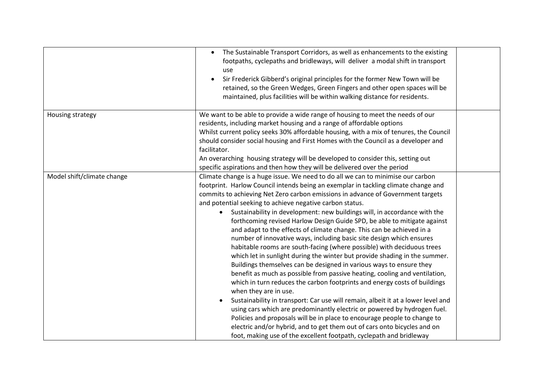|                            | The Sustainable Transport Corridors, as well as enhancements to the existing<br>$\bullet$<br>footpaths, cyclepaths and bridleways, will deliver a modal shift in transport<br>use<br>Sir Frederick Gibberd's original principles for the former New Town will be<br>$\bullet$<br>retained, so the Green Wedges, Green Fingers and other open spaces will be<br>maintained, plus facilities will be within walking distance for residents.                                                                                                                                                                                                                                                                                                                                                                                                                                                                                                                                                                                                                                                                                                                                                                                                                                                                                                                                                                                                        |  |
|----------------------------|--------------------------------------------------------------------------------------------------------------------------------------------------------------------------------------------------------------------------------------------------------------------------------------------------------------------------------------------------------------------------------------------------------------------------------------------------------------------------------------------------------------------------------------------------------------------------------------------------------------------------------------------------------------------------------------------------------------------------------------------------------------------------------------------------------------------------------------------------------------------------------------------------------------------------------------------------------------------------------------------------------------------------------------------------------------------------------------------------------------------------------------------------------------------------------------------------------------------------------------------------------------------------------------------------------------------------------------------------------------------------------------------------------------------------------------------------|--|
| Housing strategy           | We want to be able to provide a wide range of housing to meet the needs of our<br>residents, including market housing and a range of affordable options<br>Whilst current policy seeks 30% affordable housing, with a mix of tenures, the Council<br>should consider social housing and First Homes with the Council as a developer and<br>facilitator.<br>An overarching housing strategy will be developed to consider this, setting out<br>specific aspirations and then how they will be delivered over the period                                                                                                                                                                                                                                                                                                                                                                                                                                                                                                                                                                                                                                                                                                                                                                                                                                                                                                                           |  |
| Model shift/climate change | Climate change is a huge issue. We need to do all we can to minimise our carbon<br>footprint. Harlow Council intends being an exemplar in tackling climate change and<br>commits to achieving Net Zero carbon emissions in advance of Government targets<br>and potential seeking to achieve negative carbon status.<br>Sustainability in development: new buildings will, in accordance with the<br>forthcoming revised Harlow Design Guide SPD, be able to mitigate against<br>and adapt to the effects of climate change. This can be achieved in a<br>number of innovative ways, including basic site design which ensures<br>habitable rooms are south-facing (where possible) with deciduous trees<br>which let in sunlight during the winter but provide shading in the summer.<br>Buildings themselves can be designed in various ways to ensure they<br>benefit as much as possible from passive heating, cooling and ventilation,<br>which in turn reduces the carbon footprints and energy costs of buildings<br>when they are in use.<br>Sustainability in transport: Car use will remain, albeit it at a lower level and<br>using cars which are predominantly electric or powered by hydrogen fuel.<br>Policies and proposals will be in place to encourage people to change to<br>electric and/or hybrid, and to get them out of cars onto bicycles and on<br>foot, making use of the excellent footpath, cyclepath and bridleway |  |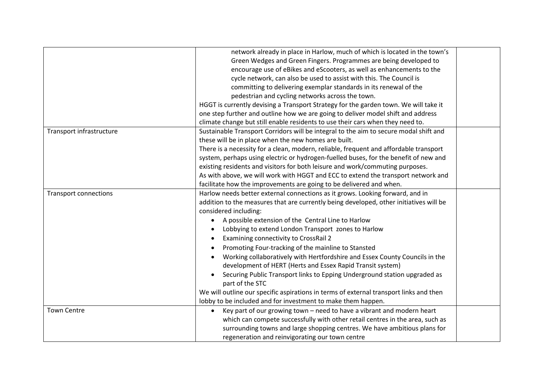|                              | network already in place in Harlow, much of which is located in the town's             |  |
|------------------------------|----------------------------------------------------------------------------------------|--|
|                              | Green Wedges and Green Fingers. Programmes are being developed to                      |  |
|                              | encourage use of eBikes and eScooters, as well as enhancements to the                  |  |
|                              | cycle network, can also be used to assist with this. The Council is                    |  |
|                              | committing to delivering exemplar standards in its renewal of the                      |  |
|                              | pedestrian and cycling networks across the town.                                       |  |
|                              | HGGT is currently devising a Transport Strategy for the garden town. We will take it   |  |
|                              | one step further and outline how we are going to deliver model shift and address       |  |
|                              | climate change but still enable residents to use their cars when they need to.         |  |
| Transport infrastructure     | Sustainable Transport Corridors will be integral to the aim to secure modal shift and  |  |
|                              | these will be in place when the new homes are built.                                   |  |
|                              | There is a necessity for a clean, modern, reliable, frequent and affordable transport  |  |
|                              | system, perhaps using electric or hydrogen-fuelled buses, for the benefit of new and   |  |
|                              | existing residents and visitors for both leisure and work/commuting purposes.          |  |
|                              | As with above, we will work with HGGT and ECC to extend the transport network and      |  |
|                              | facilitate how the improvements are going to be delivered and when.                    |  |
| <b>Transport connections</b> | Harlow needs better external connections as it grows. Looking forward, and in          |  |
|                              | addition to the measures that are currently being developed, other initiatives will be |  |
|                              | considered including:                                                                  |  |
|                              | A possible extension of the Central Line to Harlow                                     |  |
|                              | Lobbying to extend London Transport zones to Harlow<br>$\bullet$                       |  |
|                              | Examining connectivity to CrossRail 2<br>$\bullet$                                     |  |
|                              | Promoting Four-tracking of the mainline to Stansted                                    |  |
|                              | Working collaboratively with Hertfordshire and Essex County Councils in the            |  |
|                              | development of HERT (Herts and Essex Rapid Transit system)                             |  |
|                              | Securing Public Transport links to Epping Underground station upgraded as              |  |
|                              | part of the STC                                                                        |  |
|                              | We will outline our specific aspirations in terms of external transport links and then |  |
|                              | lobby to be included and for investment to make them happen.                           |  |
| <b>Town Centre</b>           | Key part of our growing town - need to have a vibrant and modern heart                 |  |
|                              | which can compete successfully with other retail centres in the area, such as          |  |
|                              | surrounding towns and large shopping centres. We have ambitious plans for              |  |
|                              | regeneration and reinvigorating our town centre                                        |  |
|                              |                                                                                        |  |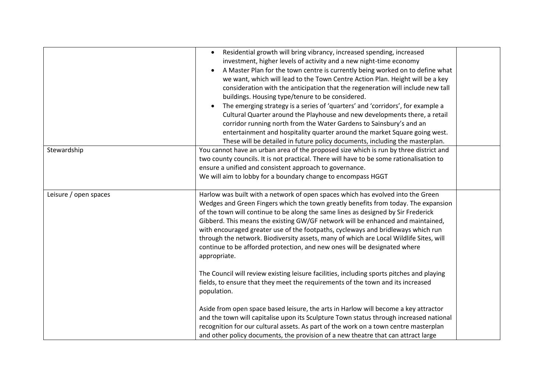|                       | Residential growth will bring vibrancy, increased spending, increased<br>$\bullet$<br>investment, higher levels of activity and a new night-time economy<br>A Master Plan for the town centre is currently being worked on to define what<br>$\bullet$<br>we want, which will lead to the Town Centre Action Plan. Height will be a key<br>consideration with the anticipation that the regeneration will include new tall<br>buildings. Housing type/tenure to be considered.<br>The emerging strategy is a series of 'quarters' and 'corridors', for example a<br>$\bullet$<br>Cultural Quarter around the Playhouse and new developments there, a retail<br>corridor running north from the Water Gardens to Sainsbury's and an<br>entertainment and hospitality quarter around the market Square going west. |  |
|-----------------------|------------------------------------------------------------------------------------------------------------------------------------------------------------------------------------------------------------------------------------------------------------------------------------------------------------------------------------------------------------------------------------------------------------------------------------------------------------------------------------------------------------------------------------------------------------------------------------------------------------------------------------------------------------------------------------------------------------------------------------------------------------------------------------------------------------------|--|
| Stewardship           | These will be detailed in future policy documents, including the masterplan.<br>You cannot have an urban area of the proposed size which is run by three district and<br>two county councils. It is not practical. There will have to be some rationalisation to<br>ensure a unified and consistent approach to governance.<br>We will aim to lobby for a boundary change to encompass HGGT                                                                                                                                                                                                                                                                                                                                                                                                                      |  |
| Leisure / open spaces | Harlow was built with a network of open spaces which has evolved into the Green<br>Wedges and Green Fingers which the town greatly benefits from today. The expansion<br>of the town will continue to be along the same lines as designed by Sir Frederick<br>Gibberd. This means the existing GW/GF network will be enhanced and maintained,<br>with encouraged greater use of the footpaths, cycleways and bridleways which run<br>through the network. Biodiversity assets, many of which are Local Wildlife Sites, will<br>continue to be afforded protection, and new ones will be designated where<br>appropriate.                                                                                                                                                                                         |  |
|                       | The Council will review existing leisure facilities, including sports pitches and playing<br>fields, to ensure that they meet the requirements of the town and its increased<br>population.                                                                                                                                                                                                                                                                                                                                                                                                                                                                                                                                                                                                                      |  |
|                       | Aside from open space based leisure, the arts in Harlow will become a key attractor<br>and the town will capitalise upon its Sculpture Town status through increased national<br>recognition for our cultural assets. As part of the work on a town centre masterplan<br>and other policy documents, the provision of a new theatre that can attract large                                                                                                                                                                                                                                                                                                                                                                                                                                                       |  |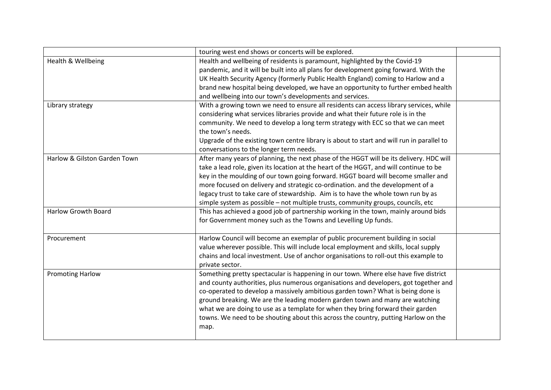|                              | touring west end shows or concerts will be explored.                                      |  |
|------------------------------|-------------------------------------------------------------------------------------------|--|
| Health & Wellbeing           | Health and wellbeing of residents is paramount, highlighted by the Covid-19               |  |
|                              | pandemic, and it will be built into all plans for development going forward. With the     |  |
|                              | UK Health Security Agency (formerly Public Health England) coming to Harlow and a         |  |
|                              | brand new hospital being developed, we have an opportunity to further embed health        |  |
|                              | and wellbeing into our town's developments and services.                                  |  |
| Library strategy             | With a growing town we need to ensure all residents can access library services, while    |  |
|                              | considering what services libraries provide and what their future role is in the          |  |
|                              | community. We need to develop a long term strategy with ECC so that we can meet           |  |
|                              | the town's needs.                                                                         |  |
|                              | Upgrade of the existing town centre library is about to start and will run in parallel to |  |
|                              | conversations to the longer term needs.                                                   |  |
| Harlow & Gilston Garden Town | After many years of planning, the next phase of the HGGT will be its delivery. HDC will   |  |
|                              | take a lead role, given its location at the heart of the HGGT, and will continue to be    |  |
|                              | key in the moulding of our town going forward. HGGT board will become smaller and         |  |
|                              | more focused on delivery and strategic co-ordination. and the development of a            |  |
|                              | legacy trust to take care of stewardship. Aim is to have the whole town run by as         |  |
|                              | simple system as possible - not multiple trusts, community groups, councils, etc          |  |
| <b>Harlow Growth Board</b>   | This has achieved a good job of partnership working in the town, mainly around bids       |  |
|                              | for Government money such as the Towns and Levelling Up funds.                            |  |
|                              |                                                                                           |  |
| Procurement                  | Harlow Council will become an exemplar of public procurement building in social           |  |
|                              | value wherever possible. This will include local employment and skills, local supply      |  |
|                              | chains and local investment. Use of anchor organisations to roll-out this example to      |  |
|                              | private sector.                                                                           |  |
| <b>Promoting Harlow</b>      | Something pretty spectacular is happening in our town. Where else have five district      |  |
|                              | and county authorities, plus numerous organisations and developers, got together and      |  |
|                              | co-operated to develop a massively ambitious garden town? What is being done is           |  |
|                              | ground breaking. We are the leading modern garden town and many are watching              |  |
|                              | what we are doing to use as a template for when they bring forward their garden           |  |
|                              | towns. We need to be shouting about this across the country, putting Harlow on the        |  |
|                              | map.                                                                                      |  |
|                              |                                                                                           |  |